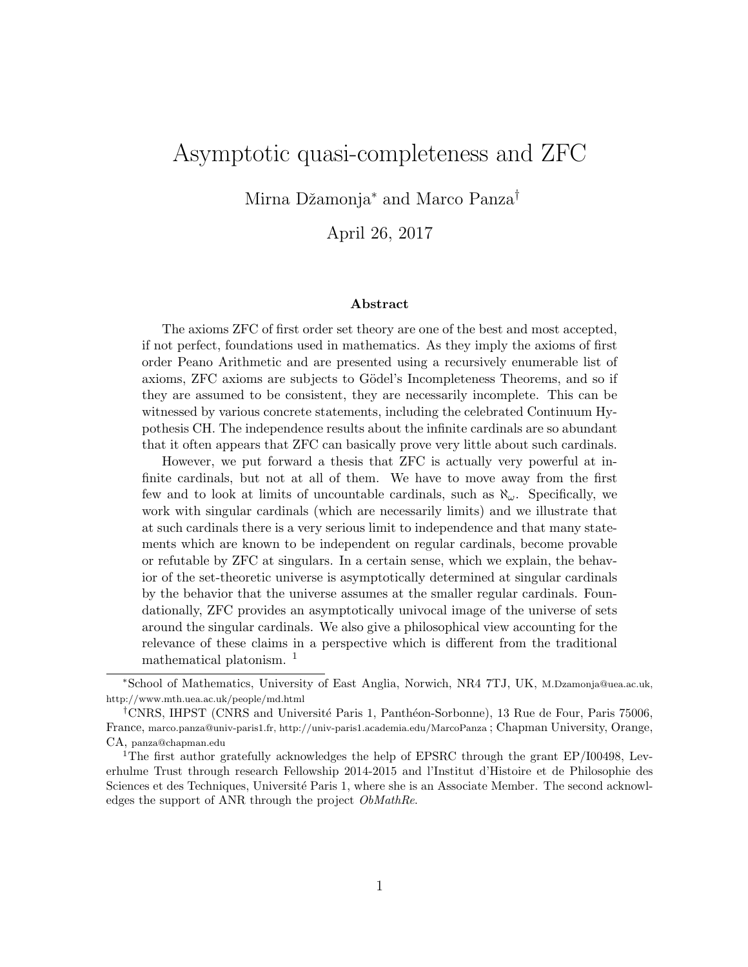# Asymptotic quasi-completeness and ZFC

Mirna Džamonja<sup>∗</sup> and Marco Panza<sup>†</sup>

April 26, 2017

#### Abstract

The axioms ZFC of first order set theory are one of the best and most accepted, if not perfect, foundations used in mathematics. As they imply the axioms of first order Peano Arithmetic and are presented using a recursively enumerable list of axioms, ZFC axioms are subjects to Gödel's Incompleteness Theorems, and so if they are assumed to be consistent, they are necessarily incomplete. This can be witnessed by various concrete statements, including the celebrated Continuum Hypothesis CH. The independence results about the infinite cardinals are so abundant that it often appears that ZFC can basically prove very little about such cardinals.

However, we put forward a thesis that ZFC is actually very powerful at infinite cardinals, but not at all of them. We have to move away from the first few and to look at limits of uncountable cardinals, such as  $\aleph_{\omega}$ . Specifically, we work with singular cardinals (which are necessarily limits) and we illustrate that at such cardinals there is a very serious limit to independence and that many statements which are known to be independent on regular cardinals, become provable or refutable by ZFC at singulars. In a certain sense, which we explain, the behavior of the set-theoretic universe is asymptotically determined at singular cardinals by the behavior that the universe assumes at the smaller regular cardinals. Foundationally, ZFC provides an asymptotically univocal image of the universe of sets around the singular cardinals. We also give a philosophical view accounting for the relevance of these claims in a perspective which is different from the traditional mathematical platonism.<sup>1</sup>

<sup>∗</sup>School of Mathematics, University of East Anglia, Norwich, NR4 7TJ, UK, M.Dzamonja@uea.ac.uk, http://www.mth.uea.ac.uk/people/md.html

<sup>&</sup>lt;sup>†</sup>CNRS, IHPST (CNRS and Université Paris 1, Panthéon-Sorbonne), 13 Rue de Four, Paris 75006, France, marco.panza@univ-paris1.fr, http://univ-paris1.academia.edu/MarcoPanza ; Chapman University, Orange, CA, panza@chapman.edu

<sup>&</sup>lt;sup>1</sup>The first author gratefully acknowledges the help of EPSRC through the grant EP/I00498, Leverhulme Trust through research Fellowship 2014-2015 and l'Institut d'Histoire et de Philosophie des Sciences et des Techniques, Université Paris 1, where she is an Associate Member. The second acknowledges the support of ANR through the project ObMathRe.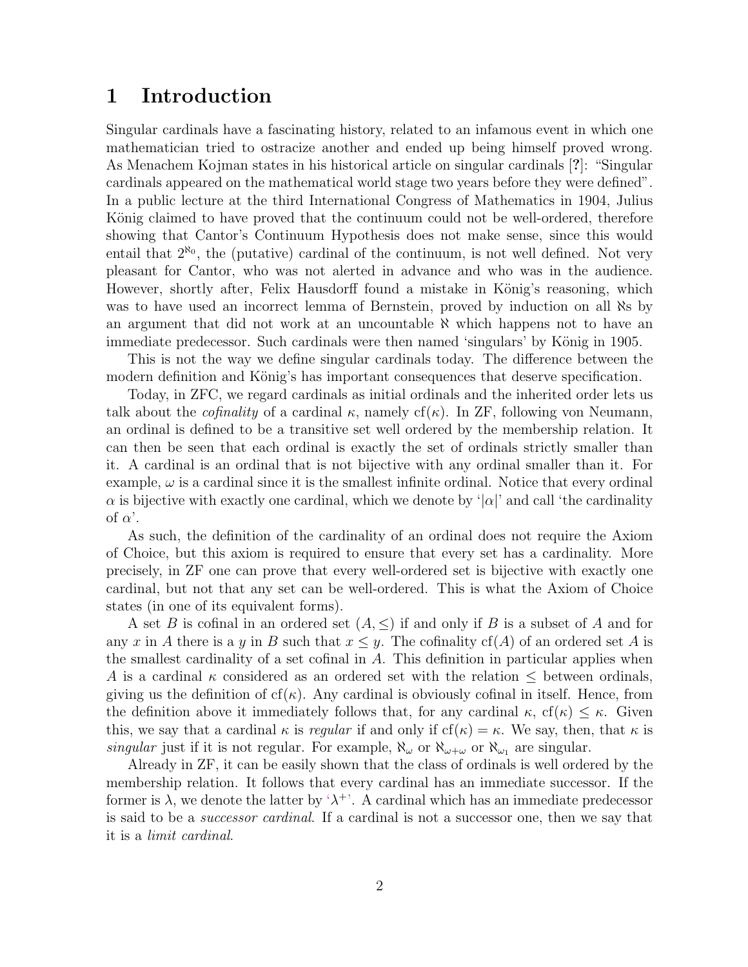### 1 Introduction

Singular cardinals have a fascinating history, related to an infamous event in which one mathematician tried to ostracize another and ended up being himself proved wrong. As Menachem Kojman states in his historical article on singular cardinals [?]: "Singular cardinals appeared on the mathematical world stage two years before they were defined". In a public lecture at the third International Congress of Mathematics in 1904, Julius König claimed to have proved that the continuum could not be well-ordered, therefore showing that Cantor's Continuum Hypothesis does not make sense, since this would entail that  $2^{\aleph_0}$ , the (putative) cardinal of the continuum, is not well defined. Not very pleasant for Cantor, who was not alerted in advance and who was in the audience. However, shortly after, Felix Hausdorff found a mistake in König's reasoning, which was to have used an incorrect lemma of Bernstein, proved by induction on all  $\aleph s$  by an argument that did not work at an uncountable  $\aleph$  which happens not to have an immediate predecessor. Such cardinals were then named 'singulars' by König in 1905.

This is not the way we define singular cardinals today. The difference between the modern definition and König's has important consequences that deserve specification.

Today, in ZFC, we regard cardinals as initial ordinals and the inherited order lets us talk about the *cofinality* of a cardinal  $\kappa$ , namely cf( $\kappa$ ). In ZF, following von Neumann, an ordinal is defined to be a transitive set well ordered by the membership relation. It can then be seen that each ordinal is exactly the set of ordinals strictly smaller than it. A cardinal is an ordinal that is not bijective with any ordinal smaller than it. For example,  $\omega$  is a cardinal since it is the smallest infinite ordinal. Notice that every ordinal  $\alpha$  is bijective with exactly one cardinal, which we denote by '| $\alpha$ |' and call 'the cardinality of  $\alpha'$ .

As such, the definition of the cardinality of an ordinal does not require the Axiom of Choice, but this axiom is required to ensure that every set has a cardinality. More precisely, in ZF one can prove that every well-ordered set is bijective with exactly one cardinal, but not that any set can be well-ordered. This is what the Axiom of Choice states (in one of its equivalent forms).

A set B is cofinal in an ordered set  $(A, \leq)$  if and only if B is a subset of A and for any x in A there is a y in B such that  $x \leq y$ . The cofinality cf(A) of an ordered set A is the smallest cardinality of a set cofinal in A. This definition in particular applies when A is a cardinal  $\kappa$  considered as an ordered set with the relation  $\leq$  between ordinals, giving us the definition of  $cf(\kappa)$ . Any cardinal is obviously cofinal in itself. Hence, from the definition above it immediately follows that, for any cardinal  $\kappa$ , cf( $\kappa$ )  $\leq \kappa$ . Given this, we say that a cardinal  $\kappa$  is regular if and only if  $cf(\kappa) = \kappa$ . We say, then, that  $\kappa$  is singular just if it is not regular. For example,  $\aleph_{\omega}$  or  $\aleph_{\omega+\omega}$  or  $\aleph_{\omega_1}$  are singular.

Already in ZF, it can be easily shown that the class of ordinals is well ordered by the membership relation. It follows that every cardinal has an immediate successor. If the former is  $\lambda$ , we denote the latter by  $\lambda^+$ . A cardinal which has an immediate predecessor is said to be a successor cardinal. If a cardinal is not a successor one, then we say that it is a limit cardinal.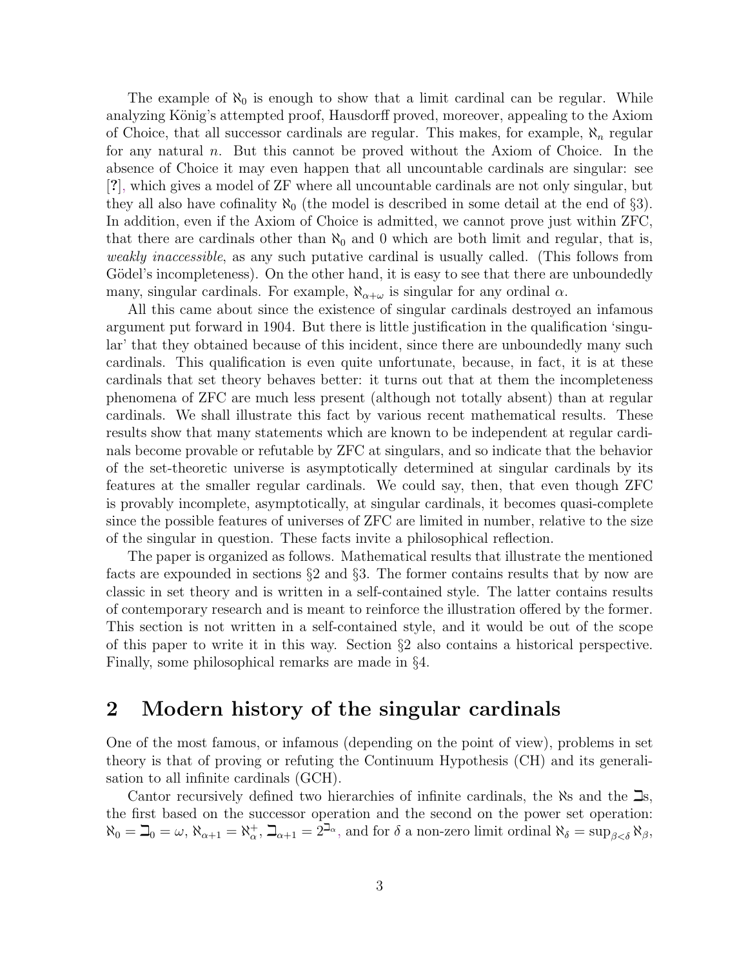The example of  $\aleph_0$  is enough to show that a limit cardinal can be regular. While analyzing König's attempted proof, Hausdorff proved, moreover, appealing to the Axiom of Choice, that all successor cardinals are regular. This makes, for example,  $\aleph_n$  regular for any natural n. But this cannot be proved without the Axiom of Choice. In the absence of Choice it may even happen that all uncountable cardinals are singular: see [?], which gives a model of ZF where all uncountable cardinals are not only singular, but they all also have cofinality  $\aleph_0$  (the model is described in some detail at the end of §3). In addition, even if the Axiom of Choice is admitted, we cannot prove just within ZFC, that there are cardinals other than  $\aleph_0$  and 0 which are both limit and regular, that is, weakly inaccessible, as any such putative cardinal is usually called. (This follows from Gödel's incompleteness). On the other hand, it is easy to see that there are unboundedly many, singular cardinals. For example,  $\aleph_{\alpha+\omega}$  is singular for any ordinal  $\alpha$ .

All this came about since the existence of singular cardinals destroyed an infamous argument put forward in 1904. But there is little justification in the qualification 'singular' that they obtained because of this incident, since there are unboundedly many such cardinals. This qualification is even quite unfortunate, because, in fact, it is at these cardinals that set theory behaves better: it turns out that at them the incompleteness phenomena of ZFC are much less present (although not totally absent) than at regular cardinals. We shall illustrate this fact by various recent mathematical results. These results show that many statements which are known to be independent at regular cardinals become provable or refutable by ZFC at singulars, and so indicate that the behavior of the set-theoretic universe is asymptotically determined at singular cardinals by its features at the smaller regular cardinals. We could say, then, that even though ZFC is provably incomplete, asymptotically, at singular cardinals, it becomes quasi-complete since the possible features of universes of ZFC are limited in number, relative to the size of the singular in question. These facts invite a philosophical reflection.

The paper is organized as follows. Mathematical results that illustrate the mentioned facts are expounded in sections §2 and §3. The former contains results that by now are classic in set theory and is written in a self-contained style. The latter contains results of contemporary research and is meant to reinforce the illustration offered by the former. This section is not written in a self-contained style, and it would be out of the scope of this paper to write it in this way. Section §2 also contains a historical perspective. Finally, some philosophical remarks are made in §4.

## 2 Modern history of the singular cardinals

One of the most famous, or infamous (depending on the point of view), problems in set theory is that of proving or refuting the Continuum Hypothesis (CH) and its generalisation to all infinite cardinals (GCH).

Cantor recursively defined two hierarchies of infinite cardinals, the  $\aleph$ s and the  $\beth$ s, the first based on the successor operation and the second on the power set operation:  $\aleph_0 = \beth_0 = \omega, \aleph_{\alpha+1} = \aleph_{\alpha}^+, \beth_{\alpha+1} = 2^{\beth_{\alpha}},$  and for  $\delta$  a non-zero limit ordinal  $\aleph_{\delta} = \sup_{\beta < \delta} \aleph_{\beta}$ ,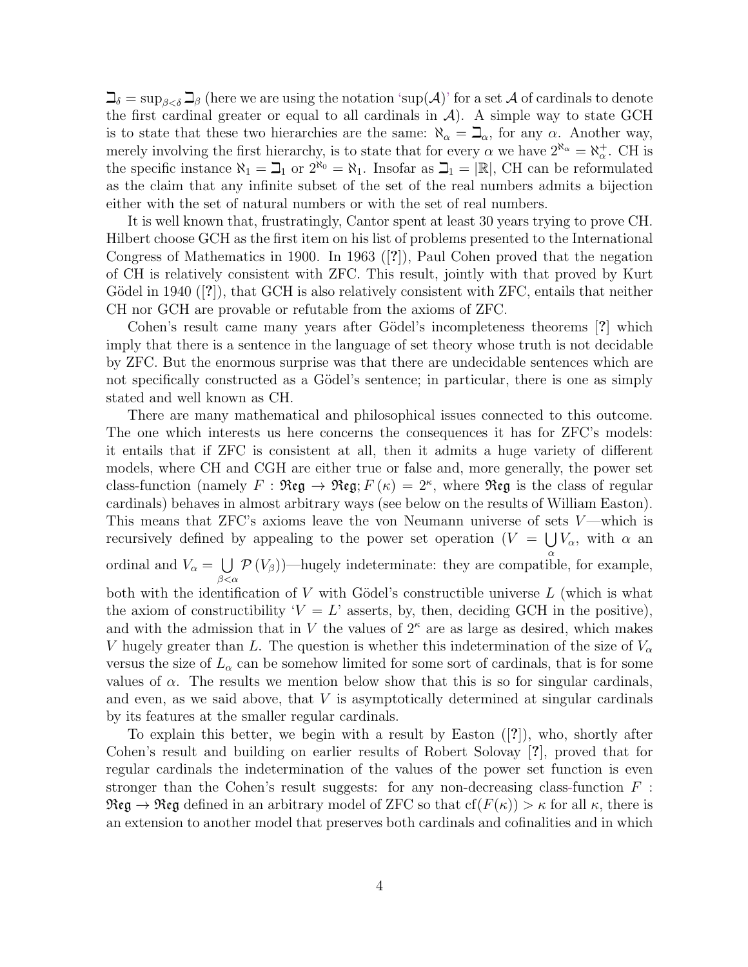$\Delta_{\delta} = \sup_{\beta < \delta} \Delta_{\beta}$  (here we are using the notation 'sup(A)' for a set A of cardinals to denote the first cardinal greater or equal to all cardinals in  $A$ ). A simple way to state GCH is to state that these two hierarchies are the same:  $\aleph_{\alpha} = \beth_{\alpha}$ , for any  $\alpha$ . Another way, merely involving the first hierarchy, is to state that for every  $\alpha$  we have  $2^{\aleph_{\alpha}} = \aleph_{\alpha}^{+}$ . CH is the specific instance  $\aleph_1 = \beth_1$  or  $2^{\aleph_0} = \aleph_1$ . Insofar as  $\beth_1 = |\mathbb{R}|$ , CH can be reformulated as the claim that any infinite subset of the set of the real numbers admits a bijection either with the set of natural numbers or with the set of real numbers.

It is well known that, frustratingly, Cantor spent at least 30 years trying to prove CH. Hilbert choose GCH as the first item on his list of problems presented to the International Congress of Mathematics in 1900. In 1963 ([?]), Paul Cohen proved that the negation of CH is relatively consistent with ZFC. This result, jointly with that proved by Kurt Gödel in 1940 ([?]), that GCH is also relatively consistent with  $ZFC$ , entails that neither CH nor GCH are provable or refutable from the axioms of ZFC.

Cohen's result came many years after Gödel's incompleteness theorems [?] which imply that there is a sentence in the language of set theory whose truth is not decidable by ZFC. But the enormous surprise was that there are undecidable sentences which are not specifically constructed as a Gödel's sentence; in particular, there is one as simply stated and well known as CH.

There are many mathematical and philosophical issues connected to this outcome. The one which interests us here concerns the consequences it has for ZFC's models: it entails that if ZFC is consistent at all, then it admits a huge variety of different models, where CH and CGH are either true or false and, more generally, the power set class-function (namely  $F : \mathfrak{Reg} \to \mathfrak{Reg}; F(\kappa) = 2^{\kappa}$ , where  $\mathfrak{Reg}$  is the class of regular cardinals) behaves in almost arbitrary ways (see below on the results of William Easton). This means that ZFC's axioms leave the von Neumann universe of sets  $V$ —which is recursively defined by appealing to the power set operation  $(V = \bigcup V_{\alpha}$ , with  $\alpha$  an α ordinal and  $V_{\alpha} = \bigcup$  $\beta<\alpha$  $\mathcal{P}(V_{\beta})$ —hugely indeterminate: they are compatible, for example, both with the identification of V with Gödel's constructible universe  $L$  (which is what the axiom of constructibility  $V = L$  asserts, by, then, deciding GCH in the positive), and with the admission that in V the values of  $2^k$  are as large as desired, which makes V hugely greater than L. The question is whether this indetermination of the size of  $V_{\alpha}$ versus the size of  $L_{\alpha}$  can be somehow limited for some sort of cardinals, that is for some values of  $\alpha$ . The results we mention below show that this is so for singular cardinals, and even, as we said above, that V is asymptotically determined at singular cardinals by its features at the smaller regular cardinals.

To explain this better, we begin with a result by Easton ([?]), who, shortly after Cohen's result and building on earlier results of Robert Solovay [?], proved that for regular cardinals the indetermination of the values of the power set function is even stronger than the Cohen's result suggests: for any non-decreasing class-function  $F$ :  $\mathfrak{Reg} \to \mathfrak{Reg}$  defined in an arbitrary model of ZFC so that  $cf(F(\kappa)) > \kappa$  for all  $\kappa$ , there is an extension to another model that preserves both cardinals and cofinalities and in which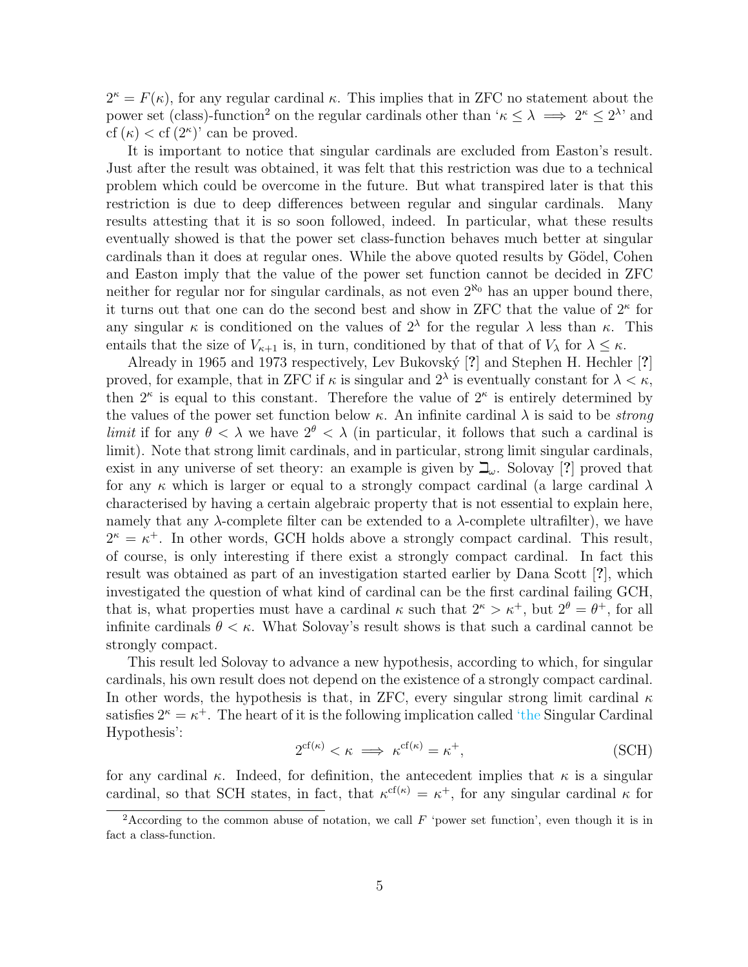$2^{\kappa} = F(\kappa)$ , for any regular cardinal  $\kappa$ . This implies that in ZFC no statement about the power set (class)-function<sup>2</sup> on the regular cardinals other than ' $\kappa \leq \lambda \implies 2^{\kappa} \leq 2^{\lambda}$ ' and cf  $(\kappa) <$  cf  $(2^{\kappa})'$  can be proved.

It is important to notice that singular cardinals are excluded from Easton's result. Just after the result was obtained, it was felt that this restriction was due to a technical problem which could be overcome in the future. But what transpired later is that this restriction is due to deep differences between regular and singular cardinals. Many results attesting that it is so soon followed, indeed. In particular, what these results eventually showed is that the power set class-function behaves much better at singular cardinals than it does at regular ones. While the above quoted results by Gödel, Cohen and Easton imply that the value of the power set function cannot be decided in ZFC neither for regular nor for singular cardinals, as not even  $2^{\aleph_0}$  has an upper bound there, it turns out that one can do the second best and show in ZFC that the value of  $2^{\kappa}$  for any singular  $\kappa$  is conditioned on the values of  $2^{\lambda}$  for the regular  $\lambda$  less than  $\kappa$ . This entails that the size of  $V_{\kappa+1}$  is, in turn, conditioned by that of that of  $V_{\lambda}$  for  $\lambda \leq \kappa$ .

Already in 1965 and 1973 respectively, Lev Bukovský [?] and Stephen H. Hechler [?] proved, for example, that in ZFC if  $\kappa$  is singular and  $2^{\lambda}$  is eventually constant for  $\lambda < \kappa$ , then  $2^{\kappa}$  is equal to this constant. Therefore the value of  $2^{\kappa}$  is entirely determined by the values of the power set function below  $\kappa$ . An infinite cardinal  $\lambda$  is said to be *strong* limit if for any  $\theta < \lambda$  we have  $2^{\theta} < \lambda$  (in particular, it follows that such a cardinal is limit). Note that strong limit cardinals, and in particular, strong limit singular cardinals, exist in any universe of set theory: an example is given by  $\mathbb{Z}_{\omega}$ . Solovay [?] proved that for any  $\kappa$  which is larger or equal to a strongly compact cardinal (a large cardinal  $\lambda$ characterised by having a certain algebraic property that is not essential to explain here, namely that any  $\lambda$ -complete filter can be extended to a  $\lambda$ -complete ultrafilter), we have  $2^{\kappa} = \kappa^+$ . In other words, GCH holds above a strongly compact cardinal. This result, of course, is only interesting if there exist a strongly compact cardinal. In fact this result was obtained as part of an investigation started earlier by Dana Scott [?], which investigated the question of what kind of cardinal can be the first cardinal failing GCH, that is, what properties must have a cardinal  $\kappa$  such that  $2^{\kappa} > \kappa^+$ , but  $2^{\theta} = \theta^+$ , for all infinite cardinals  $\theta < \kappa$ . What Solovay's result shows is that such a cardinal cannot be strongly compact.

This result led Solovay to advance a new hypothesis, according to which, for singular cardinals, his own result does not depend on the existence of a strongly compact cardinal. In other words, the hypothesis is that, in ZFC, every singular strong limit cardinal  $\kappa$ satisfies  $2^{\kappa} = \kappa^+$ . The heart of it is the following implication called 'the Singular Cardinal Hypothesis':

$$
2^{\mathrm{cf}(\kappa)} < \kappa \implies \kappa^{\mathrm{cf}(\kappa)} = \kappa^+, \tag{SCH}
$$

for any cardinal  $\kappa$ . Indeed, for definition, the antecedent implies that  $\kappa$  is a singular cardinal, so that SCH states, in fact, that  $\kappa^{cf(\kappa)} = \kappa^+$ , for any singular cardinal  $\kappa$  for

<sup>&</sup>lt;sup>2</sup>According to the common abuse of notation, we call  $F$  'power set function', even though it is in fact a class-function.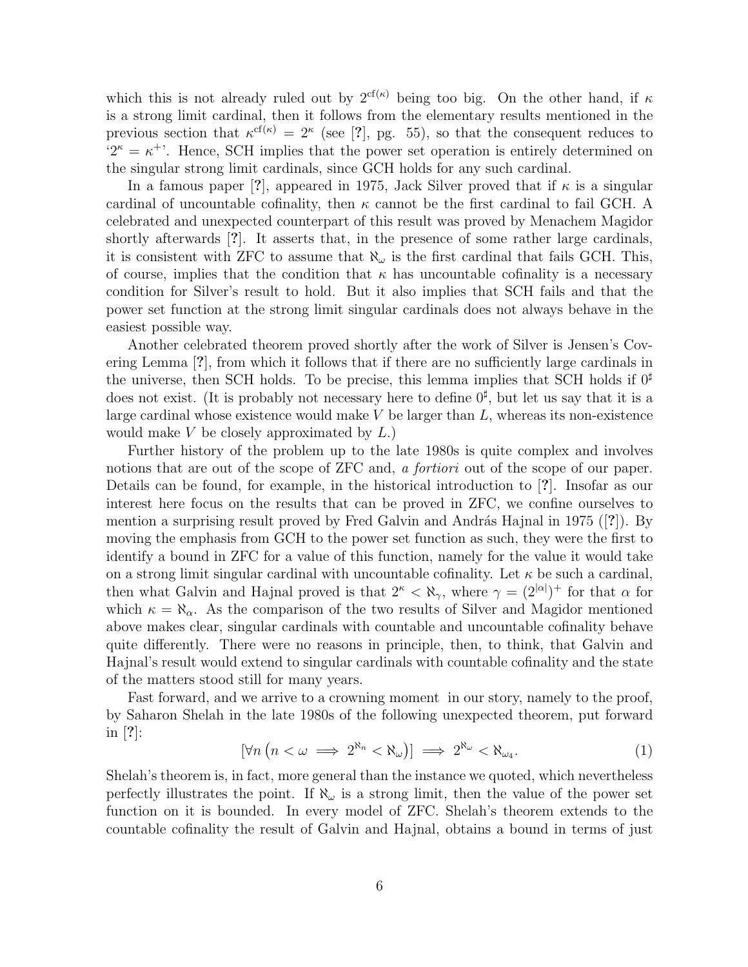which this is not already ruled out by  $2^{cf(\kappa)}$  being too big. On the other hand, if  $\kappa$ is a strong limit cardinal, then it follows from the elementary results mentioned in the previous section that  $\kappa^{cf(\kappa)} = 2^{\kappa}$  (see [?], pg. 55), so that the consequent reduces to  $2^{\kappa} = \kappa^{+}$ . Hence, SCH implies that the power set operation is entirely determined on the singular strong limit cardinals, since GCH holds for any such cardinal.

In a famous paper [?], appeared in 1975, Jack Silver proved that if  $\kappa$  is a singular cardinal of uncountable cofinality, then  $\kappa$  cannot be the first cardinal to fail GCH. A celebrated and unexpected counterpart of this result was proved by Menachem Magidor shortly afterwards [?]. It asserts that, in the presence of some rather large cardinals, it is consistent with ZFC to assume that  $\aleph_{\omega}$  is the first cardinal that fails GCH. This, of course, implies that the condition that  $\kappa$  has uncountable cofinality is a necessary condition for Silver's result to hold. But it also implies that SCH fails and that the power set function at the strong limit singular cardinals does not always behave in the easiest possible way.

Another celebrated theorem proved shortly after the work of Silver is Jensen's Covering Lemma [?], from which it follows that if there are no sufficiently large cardinals in the universe, then SCH holds. To be precise, this lemma implies that SCH holds if  $0^{\sharp}$ does not exist. (It is probably not necessary here to define  $0^{\sharp}$ , but let us say that it is a large cardinal whose existence would make  $V$  be larger than  $L$ , whereas its non-existence would make  $V$  be closely approximated by  $L$ .)

Further history of the problem up to the late 1980s is quite complex and involves notions that are out of the scope of ZFC and, a *fortiori* out of the scope of our paper. Details can be found, for example, in the historical introduction to [?]. Insofar as our interest here focus on the results that can be proved in ZFC, we confine ourselves to mention a surprising result proved by Fred Galvin and András Hajnal in 1975 ([?]). By moving the emphasis from GCH to the power set function as such, they were the first to identify a bound in ZFC for a value of this function, namely for the value it would take on a strong limit singular cardinal with uncountable cofinality. Let  $\kappa$  be such a cardinal, then what Galvin and Hajnal proved is that  $2^{\kappa} < \aleph_{\gamma}$ , where  $\gamma = (2^{|\alpha|})^+$  for that  $\alpha$  for which  $\kappa = \aleph_{\alpha}$ . As the comparison of the two results of Silver and Magidor mentioned above makes clear, singular cardinals with countable and uncountable cofinality behave quite differently. There were no reasons in principle, then, to think, that Galvin and Hajnal's result would extend to singular cardinals with countable cofinality and the state of the matters stood still for many years.

Fast forward, and we arrive to a crowning moment in our story, namely to the proof, by Saharon Shelah in the late 1980s of the following unexpected theorem, put forward in [?]:

$$
[\forall n \left( n < \omega \implies 2^{\aleph_n} < \aleph_\omega \right)] \implies 2^{\aleph_\omega} < \aleph_{\omega_4}.\tag{1}
$$

Shelah's theorem is, in fact, more general than the instance we quoted, which nevertheless perfectly illustrates the point. If  $\aleph_{\omega}$  is a strong limit, then the value of the power set function on it is bounded. In every model of ZFC. Shelah's theorem extends to the countable cofinality the result of Galvin and Hajnal, obtains a bound in terms of just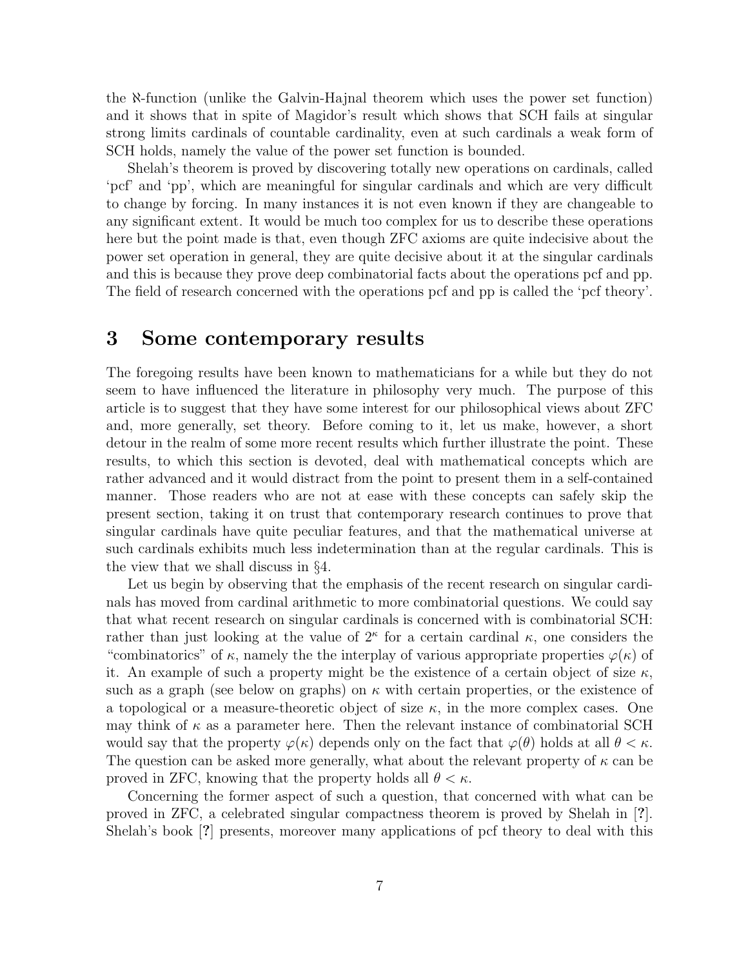the ℵ-function (unlike the Galvin-Hajnal theorem which uses the power set function) and it shows that in spite of Magidor's result which shows that SCH fails at singular strong limits cardinals of countable cardinality, even at such cardinals a weak form of SCH holds, namely the value of the power set function is bounded.

Shelah's theorem is proved by discovering totally new operations on cardinals, called 'pcf' and 'pp', which are meaningful for singular cardinals and which are very difficult to change by forcing. In many instances it is not even known if they are changeable to any significant extent. It would be much too complex for us to describe these operations here but the point made is that, even though ZFC axioms are quite indecisive about the power set operation in general, they are quite decisive about it at the singular cardinals and this is because they prove deep combinatorial facts about the operations pcf and pp. The field of research concerned with the operations pcf and pp is called the 'pcf theory'.

#### 3 Some contemporary results

The foregoing results have been known to mathematicians for a while but they do not seem to have influenced the literature in philosophy very much. The purpose of this article is to suggest that they have some interest for our philosophical views about ZFC and, more generally, set theory. Before coming to it, let us make, however, a short detour in the realm of some more recent results which further illustrate the point. These results, to which this section is devoted, deal with mathematical concepts which are rather advanced and it would distract from the point to present them in a self-contained manner. Those readers who are not at ease with these concepts can safely skip the present section, taking it on trust that contemporary research continues to prove that singular cardinals have quite peculiar features, and that the mathematical universe at such cardinals exhibits much less indetermination than at the regular cardinals. This is the view that we shall discuss in §4.

Let us begin by observing that the emphasis of the recent research on singular cardinals has moved from cardinal arithmetic to more combinatorial questions. We could say that what recent research on singular cardinals is concerned with is combinatorial SCH: rather than just looking at the value of  $2^{\kappa}$  for a certain cardinal  $\kappa$ , one considers the "combinatorics" of  $\kappa$ , namely the the interplay of various appropriate properties  $\varphi(\kappa)$  of it. An example of such a property might be the existence of a certain object of size  $\kappa$ , such as a graph (see below on graphs) on  $\kappa$  with certain properties, or the existence of a topological or a measure-theoretic object of size  $\kappa$ , in the more complex cases. One may think of  $\kappa$  as a parameter here. Then the relevant instance of combinatorial SCH would say that the property  $\varphi(\kappa)$  depends only on the fact that  $\varphi(\theta)$  holds at all  $\theta < \kappa$ . The question can be asked more generally, what about the relevant property of  $\kappa$  can be proved in ZFC, knowing that the property holds all  $\theta < \kappa$ .

Concerning the former aspect of such a question, that concerned with what can be proved in ZFC, a celebrated singular compactness theorem is proved by Shelah in [?]. Shelah's book [?] presents, moreover many applications of pcf theory to deal with this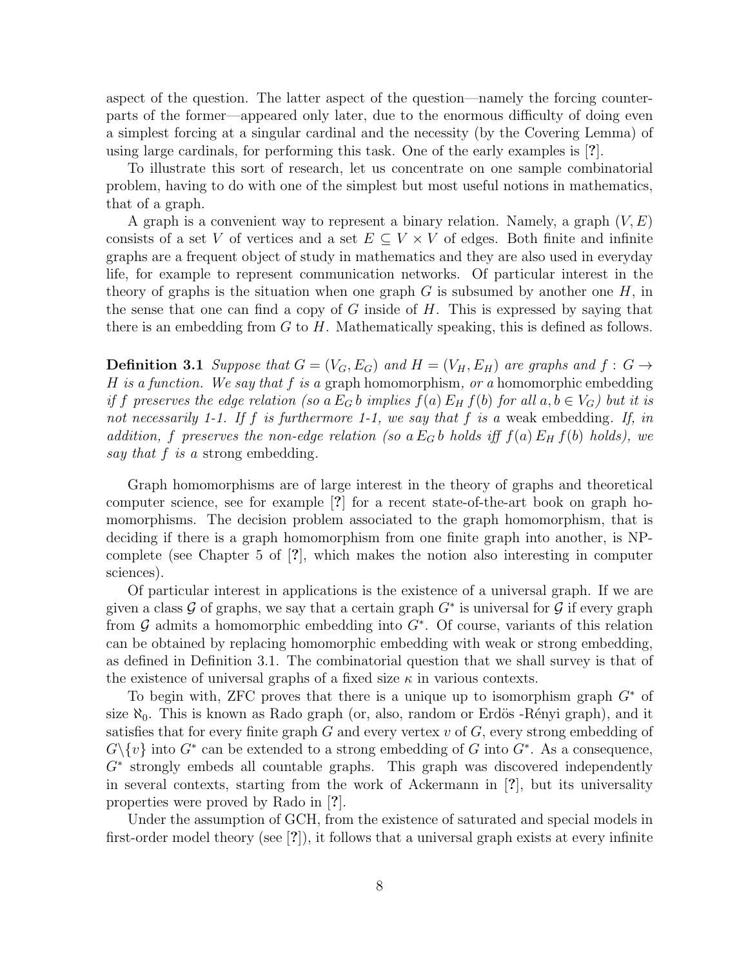aspect of the question. The latter aspect of the question—namely the forcing counterparts of the former—appeared only later, due to the enormous difficulty of doing even a simplest forcing at a singular cardinal and the necessity (by the Covering Lemma) of using large cardinals, for performing this task. One of the early examples is [?].

To illustrate this sort of research, let us concentrate on one sample combinatorial problem, having to do with one of the simplest but most useful notions in mathematics, that of a graph.

A graph is a convenient way to represent a binary relation. Namely, a graph  $(V, E)$ consists of a set V of vertices and a set  $E \subseteq V \times V$  of edges. Both finite and infinite graphs are a frequent object of study in mathematics and they are also used in everyday life, for example to represent communication networks. Of particular interest in the theory of graphs is the situation when one graph  $G$  is subsumed by another one  $H$ , in the sense that one can find a copy of  $G$  inside of  $H$ . This is expressed by saying that there is an embedding from  $G$  to  $H$ . Mathematically speaking, this is defined as follows.

**Definition 3.1** Suppose that  $G = (V_G, E_G)$  and  $H = (V_H, E_H)$  are graphs and  $f : G \rightarrow$ H is a function. We say that  $f$  is a graph homomorphism, or a homomorphic embedding if f preserves the edge relation (so a  $E_G$  b implies  $f(a) E_H f(b)$  for all  $a, b \in V_G$ ) but it is not necessarily 1-1. If f is furthermore 1-1, we say that f is a weak embedding. If, in addition, f preserves the non-edge relation (so a  $E_G$  b holds iff  $f(a) E_H f(b)$  holds), we say that f is a strong embedding.

Graph homomorphisms are of large interest in the theory of graphs and theoretical computer science, see for example [?] for a recent state-of-the-art book on graph homomorphisms. The decision problem associated to the graph homomorphism, that is deciding if there is a graph homomorphism from one finite graph into another, is NPcomplete (see Chapter 5 of [?], which makes the notion also interesting in computer sciences).

Of particular interest in applications is the existence of a universal graph. If we are given a class G of graphs, we say that a certain graph  $G^*$  is universal for G if every graph from  $G$  admits a homomorphic embedding into  $G^*$ . Of course, variants of this relation can be obtained by replacing homomorphic embedding with weak or strong embedding, as defined in Definition 3.1. The combinatorial question that we shall survey is that of the existence of universal graphs of a fixed size  $\kappa$  in various contexts.

To begin with, ZFC proves that there is a unique up to isomorphism graph G<sup>∗</sup> of size  $\aleph_0$ . This is known as Rado graph (or, also, random or Erdös -Rényi graph), and it satisfies that for every finite graph  $G$  and every vertex  $v$  of  $G$ , every strong embedding of  $G\backslash\{v\}$  into  $G^*$  can be extended to a strong embedding of G into  $G^*$ . As a consequence, G<sup>\*</sup> strongly embeds all countable graphs. This graph was discovered independently in several contexts, starting from the work of Ackermann in [?], but its universality properties were proved by Rado in [?].

Under the assumption of GCH, from the existence of saturated and special models in first-order model theory (see [?]), it follows that a universal graph exists at every infinite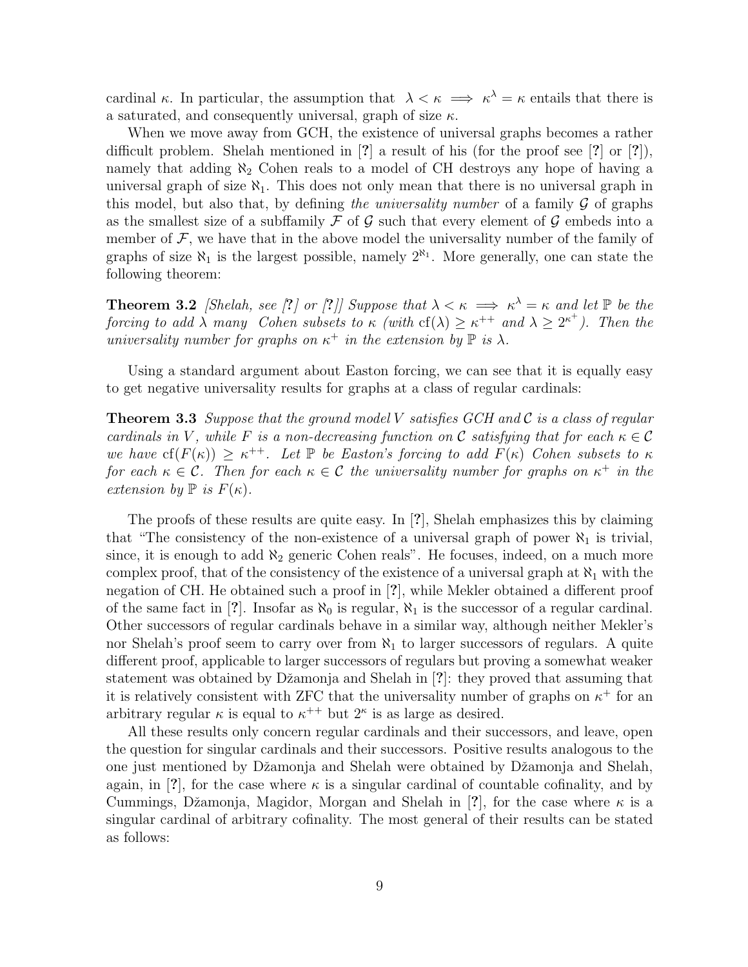cardinal  $\kappa$ . In particular, the assumption that  $\lambda < \kappa \implies \kappa^{\lambda} = \kappa$  entails that there is a saturated, and consequently universal, graph of size  $\kappa$ .

When we move away from GCH, the existence of universal graphs becomes a rather difficult problem. Shelah mentioned in [?] a result of his (for the proof see [?] or [?]), namely that adding  $\aleph_2$  Cohen reals to a model of CH destroys any hope of having a universal graph of size  $\aleph_1$ . This does not only mean that there is no universal graph in this model, but also that, by defining the universality number of a family  $\mathcal G$  of graphs as the smallest size of a subffamily  $\mathcal F$  of  $\mathcal G$  such that every element of  $\mathcal G$  embeds into a member of  $\mathcal F$ , we have that in the above model the universality number of the family of graphs of size  $\aleph_1$  is the largest possible, namely  $2^{\aleph_1}$ . More generally, one can state the following theorem:

**Theorem 3.2** *[Shelah, see [?] or [?]] Suppose that*  $\lambda < \kappa \implies \kappa^{\lambda} = \kappa$  and let  $\mathbb{P}$  be the forcing to add  $\lambda$  many Cohen subsets to  $\kappa$  (with  $cf(\lambda) \geq \kappa^{++}$  and  $\lambda \geq 2^{\kappa^+}$ ). Then the universality number for graphs on  $\kappa^+$  in the extension by  $\mathbb P$  is  $\lambda$ .

Using a standard argument about Easton forcing, we can see that it is equally easy to get negative universality results for graphs at a class of regular cardinals:

**Theorem 3.3** Suppose that the ground model V satisfies  $GCH$  and C is a class of regular cardinals in V, while F is a non-decreasing function on C satisfying that for each  $\kappa \in \mathcal{C}$ we have  $cf(F(\kappa)) \geq \kappa^{++}$ . Let  $\mathbb P$  be Easton's forcing to add  $F(\kappa)$  Cohen subsets to  $\kappa$ for each  $\kappa \in \mathcal{C}$ . Then for each  $\kappa \in \mathcal{C}$  the universality number for graphs on  $\kappa^+$  in the extension by  $\mathbb P$  is  $F(\kappa)$ .

The proofs of these results are quite easy. In [?], Shelah emphasizes this by claiming that "The consistency of the non-existence of a universal graph of power  $\aleph_1$  is trivial, since, it is enough to add  $\aleph_2$  generic Cohen reals". He focuses, indeed, on a much more complex proof, that of the consistency of the existence of a universal graph at  $\aleph_1$  with the negation of CH. He obtained such a proof in [?], while Mekler obtained a different proof of the same fact in [?]. Insofar as  $\aleph_0$  is regular,  $\aleph_1$  is the successor of a regular cardinal. Other successors of regular cardinals behave in a similar way, although neither Mekler's nor Shelah's proof seem to carry over from  $\aleph_1$  to larger successors of regulars. A quite different proof, applicable to larger successors of regulars but proving a somewhat weaker statement was obtained by Džamonja and Shelah in [?]: they proved that assuming that it is relatively consistent with ZFC that the universality number of graphs on  $\kappa^+$  for an arbitrary regular  $\kappa$  is equal to  $\kappa^{++}$  but  $2^{\kappa}$  is as large as desired.

All these results only concern regular cardinals and their successors, and leave, open the question for singular cardinals and their successors. Positive results analogous to the one just mentioned by Dˇzamonja and Shelah were obtained by Dˇzamonja and Shelah, again, in [?], for the case where  $\kappa$  is a singular cardinal of countable cofinality, and by Cummings, Džamonja, Magidor, Morgan and Shelah in [?], for the case where  $\kappa$  is a singular cardinal of arbitrary cofinality. The most general of their results can be stated as follows: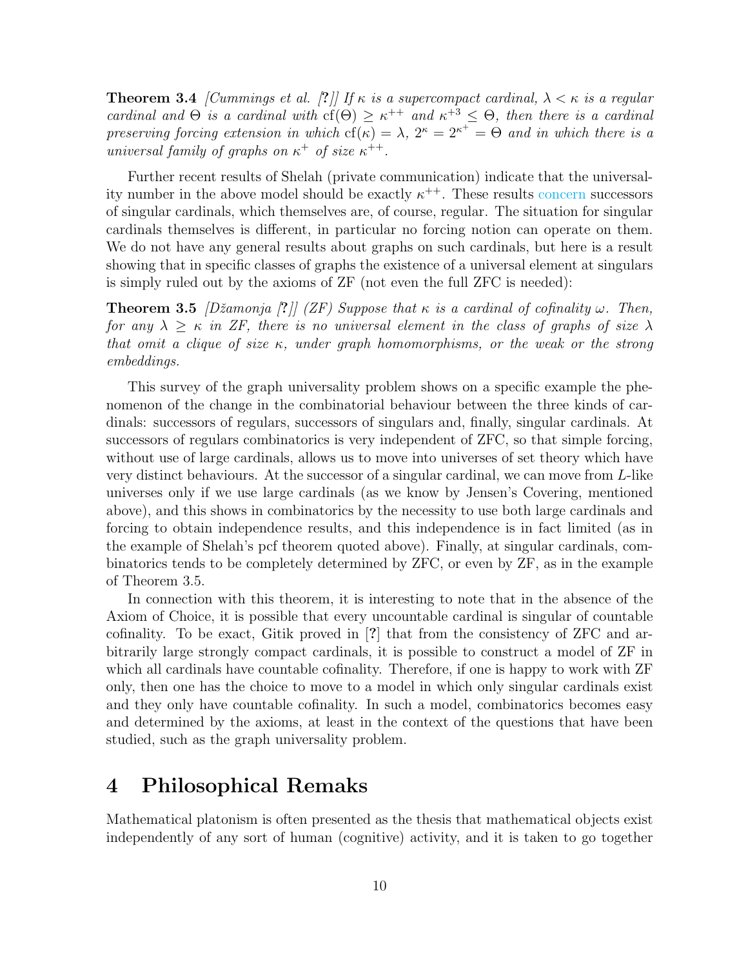**Theorem 3.4** [Cummings et al. [?]] If  $\kappa$  is a supercompact cardinal,  $\lambda < \kappa$  is a regular cardinal and  $\Theta$  is a cardinal with  $cf(\Theta) \geq \kappa^{++}$  and  $\kappa^{+3} \leq \Theta$ , then there is a cardinal preserving forcing extension in which  $cf(\kappa) = \lambda$ ,  $2^{\kappa} = 2^{\kappa^+} = \Theta$  and in which there is a universal family of graphs on  $\kappa^+$  of size  $\kappa^{++}$ .

Further recent results of Shelah (private communication) indicate that the universality number in the above model should be exactly  $\kappa^{++}$ . These results concern successors of singular cardinals, which themselves are, of course, regular. The situation for singular cardinals themselves is different, in particular no forcing notion can operate on them. We do not have any general results about graphs on such cardinals, but here is a result showing that in specific classes of graphs the existence of a universal element at singulars is simply ruled out by the axioms of ZF (not even the full ZFC is needed):

**Theorem 3.5** [Džamonja [?]] (ZF) Suppose that  $\kappa$  is a cardinal of cofinality  $\omega$ . Then, for any  $\lambda \geq \kappa$  in ZF, there is no universal element in the class of graphs of size  $\lambda$ that omit a clique of size  $\kappa$ , under graph homomorphisms, or the weak or the strong embeddings.

This survey of the graph universality problem shows on a specific example the phenomenon of the change in the combinatorial behaviour between the three kinds of cardinals: successors of regulars, successors of singulars and, finally, singular cardinals. At successors of regulars combinatorics is very independent of ZFC, so that simple forcing, without use of large cardinals, allows us to move into universes of set theory which have very distinct behaviours. At the successor of a singular cardinal, we can move from L-like universes only if we use large cardinals (as we know by Jensen's Covering, mentioned above), and this shows in combinatorics by the necessity to use both large cardinals and forcing to obtain independence results, and this independence is in fact limited (as in the example of Shelah's pcf theorem quoted above). Finally, at singular cardinals, combinatorics tends to be completely determined by ZFC, or even by ZF, as in the example of Theorem 3.5.

In connection with this theorem, it is interesting to note that in the absence of the Axiom of Choice, it is possible that every uncountable cardinal is singular of countable cofinality. To be exact, Gitik proved in [?] that from the consistency of ZFC and arbitrarily large strongly compact cardinals, it is possible to construct a model of ZF in which all cardinals have countable cofinality. Therefore, if one is happy to work with ZF only, then one has the choice to move to a model in which only singular cardinals exist and they only have countable cofinality. In such a model, combinatorics becomes easy and determined by the axioms, at least in the context of the questions that have been studied, such as the graph universality problem.

# 4 Philosophical Remaks

Mathematical platonism is often presented as the thesis that mathematical objects exist independently of any sort of human (cognitive) activity, and it is taken to go together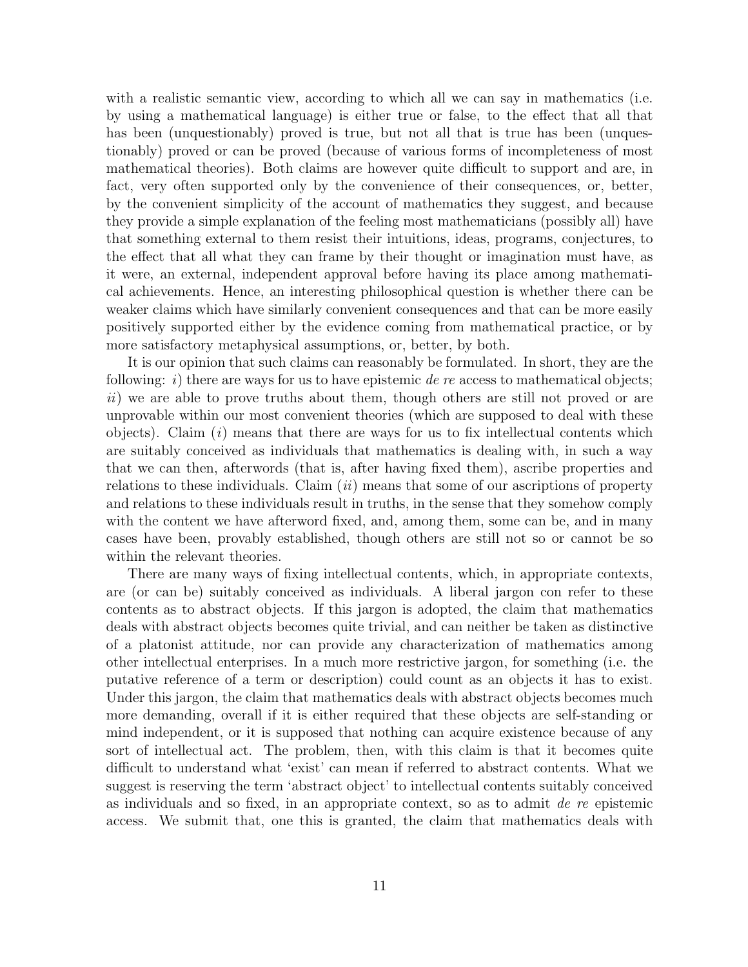with a realistic semantic view, according to which all we can say in mathematics (i.e. by using a mathematical language) is either true or false, to the effect that all that has been (unquestionably) proved is true, but not all that is true has been (unquestionably) proved or can be proved (because of various forms of incompleteness of most mathematical theories). Both claims are however quite difficult to support and are, in fact, very often supported only by the convenience of their consequences, or, better, by the convenient simplicity of the account of mathematics they suggest, and because they provide a simple explanation of the feeling most mathematicians (possibly all) have that something external to them resist their intuitions, ideas, programs, conjectures, to the effect that all what they can frame by their thought or imagination must have, as it were, an external, independent approval before having its place among mathematical achievements. Hence, an interesting philosophical question is whether there can be weaker claims which have similarly convenient consequences and that can be more easily positively supported either by the evidence coming from mathematical practice, or by more satisfactory metaphysical assumptions, or, better, by both.

It is our opinion that such claims can reasonably be formulated. In short, they are the following: i) there are ways for us to have epistemic de re access to mathematical objects; ii) we are able to prove truths about them, though others are still not proved or are unprovable within our most convenient theories (which are supposed to deal with these objects). Claim  $(i)$  means that there are ways for us to fix intellectual contents which are suitably conceived as individuals that mathematics is dealing with, in such a way that we can then, afterwords (that is, after having fixed them), ascribe properties and relations to these individuals. Claim  $(ii)$  means that some of our ascriptions of property and relations to these individuals result in truths, in the sense that they somehow comply with the content we have afterword fixed, and, among them, some can be, and in many cases have been, provably established, though others are still not so or cannot be so within the relevant theories.

There are many ways of fixing intellectual contents, which, in appropriate contexts, are (or can be) suitably conceived as individuals. A liberal jargon con refer to these contents as to abstract objects. If this jargon is adopted, the claim that mathematics deals with abstract objects becomes quite trivial, and can neither be taken as distinctive of a platonist attitude, nor can provide any characterization of mathematics among other intellectual enterprises. In a much more restrictive jargon, for something (i.e. the putative reference of a term or description) could count as an objects it has to exist. Under this jargon, the claim that mathematics deals with abstract objects becomes much more demanding, overall if it is either required that these objects are self-standing or mind independent, or it is supposed that nothing can acquire existence because of any sort of intellectual act. The problem, then, with this claim is that it becomes quite difficult to understand what 'exist' can mean if referred to abstract contents. What we suggest is reserving the term 'abstract object' to intellectual contents suitably conceived as individuals and so fixed, in an appropriate context, so as to admit de re epistemic access. We submit that, one this is granted, the claim that mathematics deals with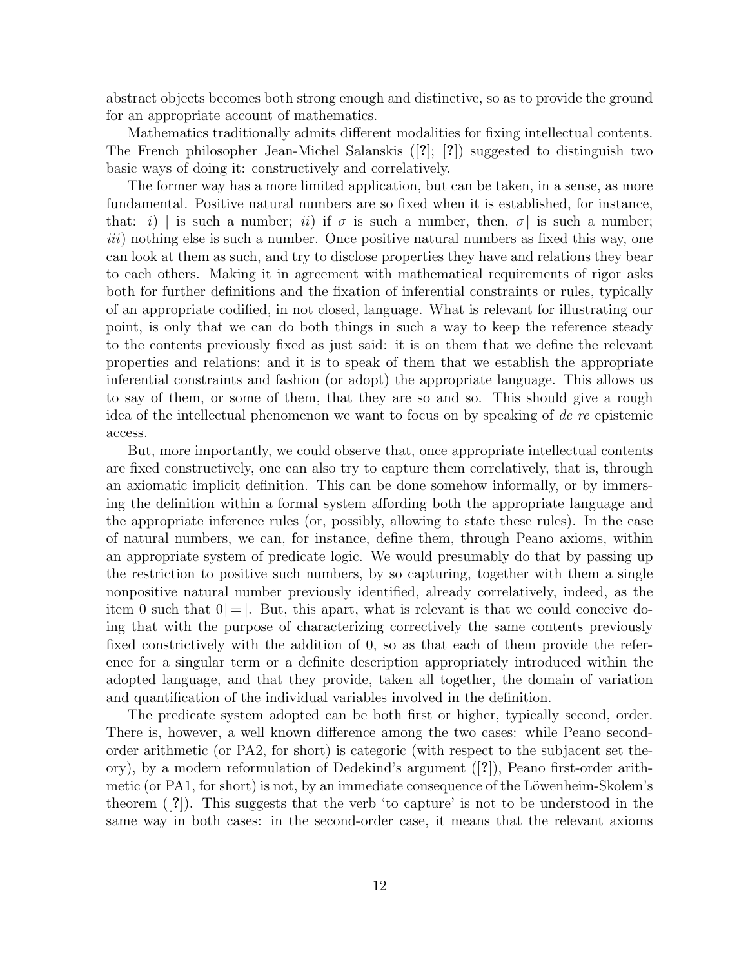abstract objects becomes both strong enough and distinctive, so as to provide the ground for an appropriate account of mathematics.

Mathematics traditionally admits different modalities for fixing intellectual contents. The French philosopher Jean-Michel Salanskis ([?]; [?]) suggested to distinguish two basic ways of doing it: constructively and correlatively.

The former way has a more limited application, but can be taken, in a sense, as more fundamental. Positive natural numbers are so fixed when it is established, for instance, that: i) is such a number; ii) if  $\sigma$  is such a number, then,  $\sigma$  is such a number; iii) nothing else is such a number. Once positive natural numbers as fixed this way, one can look at them as such, and try to disclose properties they have and relations they bear to each others. Making it in agreement with mathematical requirements of rigor asks both for further definitions and the fixation of inferential constraints or rules, typically of an appropriate codified, in not closed, language. What is relevant for illustrating our point, is only that we can do both things in such a way to keep the reference steady to the contents previously fixed as just said: it is on them that we define the relevant properties and relations; and it is to speak of them that we establish the appropriate inferential constraints and fashion (or adopt) the appropriate language. This allows us to say of them, or some of them, that they are so and so. This should give a rough idea of the intellectual phenomenon we want to focus on by speaking of de re epistemic access.

But, more importantly, we could observe that, once appropriate intellectual contents are fixed constructively, one can also try to capture them correlatively, that is, through an axiomatic implicit definition. This can be done somehow informally, or by immersing the definition within a formal system affording both the appropriate language and the appropriate inference rules (or, possibly, allowing to state these rules). In the case of natural numbers, we can, for instance, define them, through Peano axioms, within an appropriate system of predicate logic. We would presumably do that by passing up the restriction to positive such numbers, by so capturing, together with them a single nonpositive natural number previously identified, already correlatively, indeed, as the item 0 such that  $0 =$ . But, this apart, what is relevant is that we could conceive doing that with the purpose of characterizing correctively the same contents previously fixed constrictively with the addition of 0, so as that each of them provide the reference for a singular term or a definite description appropriately introduced within the adopted language, and that they provide, taken all together, the domain of variation and quantification of the individual variables involved in the definition.

The predicate system adopted can be both first or higher, typically second, order. There is, however, a well known difference among the two cases: while Peano secondorder arithmetic (or PA2, for short) is categoric (with respect to the subjacent set theory), by a modern reformulation of Dedekind's argument ([?]), Peano first-order arithmetic (or PA1, for short) is not, by an immediate consequence of the Löwenheim-Skolem's theorem  $([?])$ . This suggests that the verb 'to capture' is not to be understood in the same way in both cases: in the second-order case, it means that the relevant axioms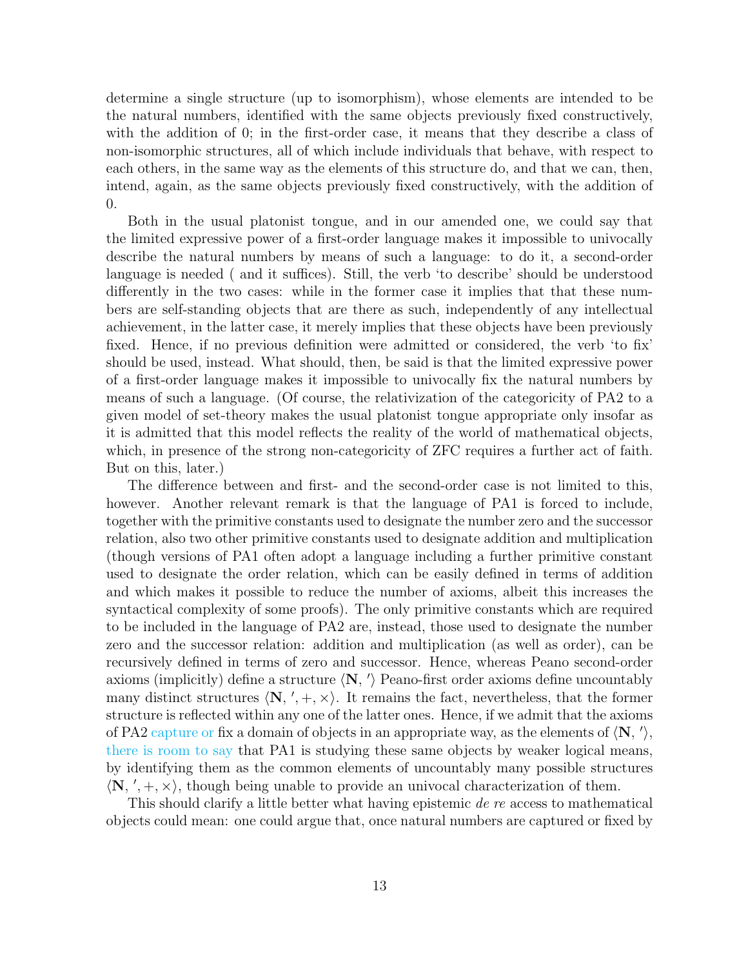determine a single structure (up to isomorphism), whose elements are intended to be the natural numbers, identified with the same objects previously fixed constructively, with the addition of 0; in the first-order case, it means that they describe a class of non-isomorphic structures, all of which include individuals that behave, with respect to each others, in the same way as the elements of this structure do, and that we can, then, intend, again, as the same objects previously fixed constructively, with the addition of 0.

Both in the usual platonist tongue, and in our amended one, we could say that the limited expressive power of a first-order language makes it impossible to univocally describe the natural numbers by means of such a language: to do it, a second-order language is needed ( and it suffices). Still, the verb 'to describe' should be understood differently in the two cases: while in the former case it implies that that these numbers are self-standing objects that are there as such, independently of any intellectual achievement, in the latter case, it merely implies that these objects have been previously fixed. Hence, if no previous definition were admitted or considered, the verb 'to fix' should be used, instead. What should, then, be said is that the limited expressive power of a first-order language makes it impossible to univocally fix the natural numbers by means of such a language. (Of course, the relativization of the categoricity of PA2 to a given model of set-theory makes the usual platonist tongue appropriate only insofar as it is admitted that this model reflects the reality of the world of mathematical objects, which, in presence of the strong non-categoricity of ZFC requires a further act of faith. But on this, later.)

The difference between and first- and the second-order case is not limited to this, however. Another relevant remark is that the language of PA1 is forced to include, together with the primitive constants used to designate the number zero and the successor relation, also two other primitive constants used to designate addition and multiplication (though versions of PA1 often adopt a language including a further primitive constant used to designate the order relation, which can be easily defined in terms of addition and which makes it possible to reduce the number of axioms, albeit this increases the syntactical complexity of some proofs). The only primitive constants which are required to be included in the language of PA2 are, instead, those used to designate the number zero and the successor relation: addition and multiplication (as well as order), can be recursively defined in terms of zero and successor. Hence, whereas Peano second-order axioms (implicitly) define a structure  $\langle N, \cdot \rangle$  Peano-first order axioms define uncountably many distinct structures  $\langle N, ', +, \times \rangle$ . It remains the fact, nevertheless, that the former structure is reflected within any one of the latter ones. Hence, if we admit that the axioms of PA2 capture or fix a domain of objects in an appropriate way, as the elements of  $\langle N, \prime \rangle$ , there is room to say that PA1 is studying these same objects by weaker logical means, by identifying them as the common elements of uncountably many possible structures  $\langle N, ', +, \times \rangle$ , though being unable to provide an univocal characterization of them.

This should clarify a little better what having epistemic de re access to mathematical objects could mean: one could argue that, once natural numbers are captured or fixed by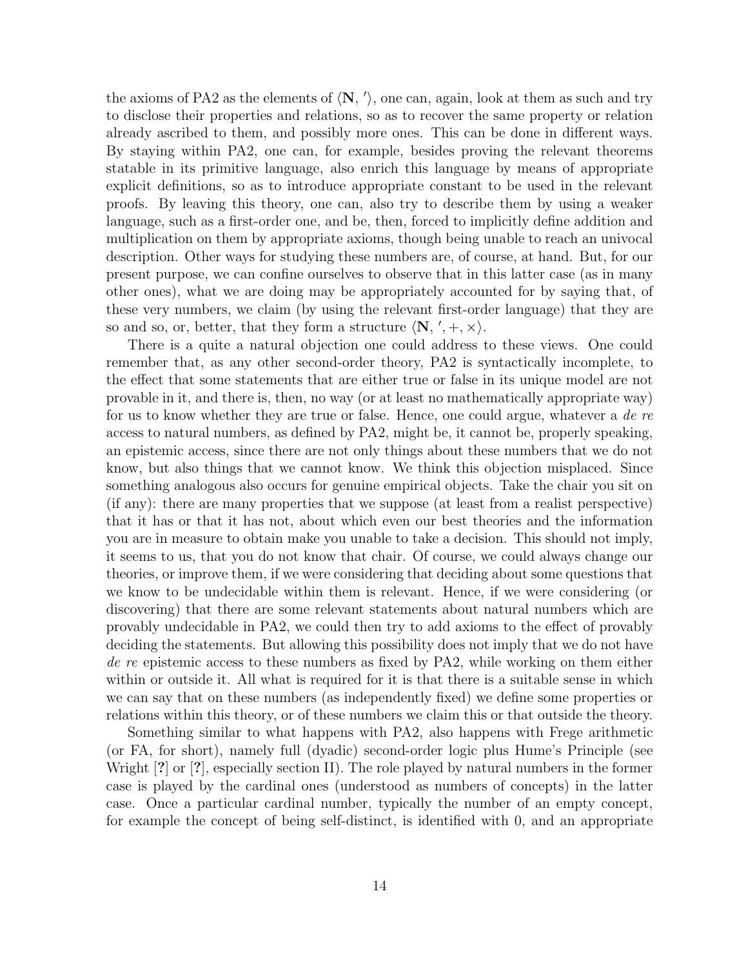the axioms of PA2 as the elements of  $\langle N, \cdot \rangle$ , one can, again, look at them as such and try to disclose their properties and relations, so as to recover the same property or relation already ascribed to them, and possibly more ones. This can be done in different ways. By staying within PA2, one can, for example, besides proving the relevant theorems statable in its primitive language, also enrich this language by means of appropriate explicit definitions, so as to introduce appropriate constant to be used in the relevant proofs. By leaving this theory, one can, also try to describe them by using a weaker language, such as a first-order one, and be, then, forced to implicitly define addition and multiplication on them by appropriate axioms, though being unable to reach an univocal description. Other ways for studying these numbers are, of course, at hand. But, for our present purpose, we can confine ourselves to observe that in this latter case (as in many other ones), what we are doing may be appropriately accounted for by saying that, of these very numbers, we claim (by using the relevant first-order language) that they are so and so, or, better, that they form a structure  $\langle N, ', +, \times \rangle$ .

There is a quite a natural objection one could address to these views. One could remember that, as any other second-order theory, PA2 is syntactically incomplete, to the effect that some statements that are either true or false in its unique model are not provable in it, and there is, then, no way (or at least no mathematically appropriate way) for us to know whether they are true or false. Hence, one could argue, whatever a de re access to natural numbers, as defined by PA2, might be, it cannot be, properly speaking, an epistemic access, since there are not only things about these numbers that we do not know, but also things that we cannot know. We think this objection misplaced. Since something analogous also occurs for genuine empirical objects. Take the chair you sit on (if any): there are many properties that we suppose (at least from a realist perspective) that it has or that it has not, about which even our best theories and the information you are in measure to obtain make you unable to take a decision. This should not imply, it seems to us, that you do not know that chair. Of course, we could always change our theories, or improve them, if we were considering that deciding about some questions that we know to be undecidable within them is relevant. Hence, if we were considering (or discovering) that there are some relevant statements about natural numbers which are provably undecidable in PA2, we could then try to add axioms to the effect of provably deciding the statements. But allowing this possibility does not imply that we do not have de re epistemic access to these numbers as fixed by PA2, while working on them either within or outside it. All what is required for it is that there is a suitable sense in which we can say that on these numbers (as independently fixed) we define some properties or relations within this theory, or of these numbers we claim this or that outside the theory.

Something similar to what happens with PA2, also happens with Frege arithmetic (or FA, for short), namely full (dyadic) second-order logic plus Hume's Principle (see Wright [?] or [?], especially section II). The role played by natural numbers in the former case is played by the cardinal ones (understood as numbers of concepts) in the latter case. Once a particular cardinal number, typically the number of an empty concept, for example the concept of being self-distinct, is identified with 0, and an appropriate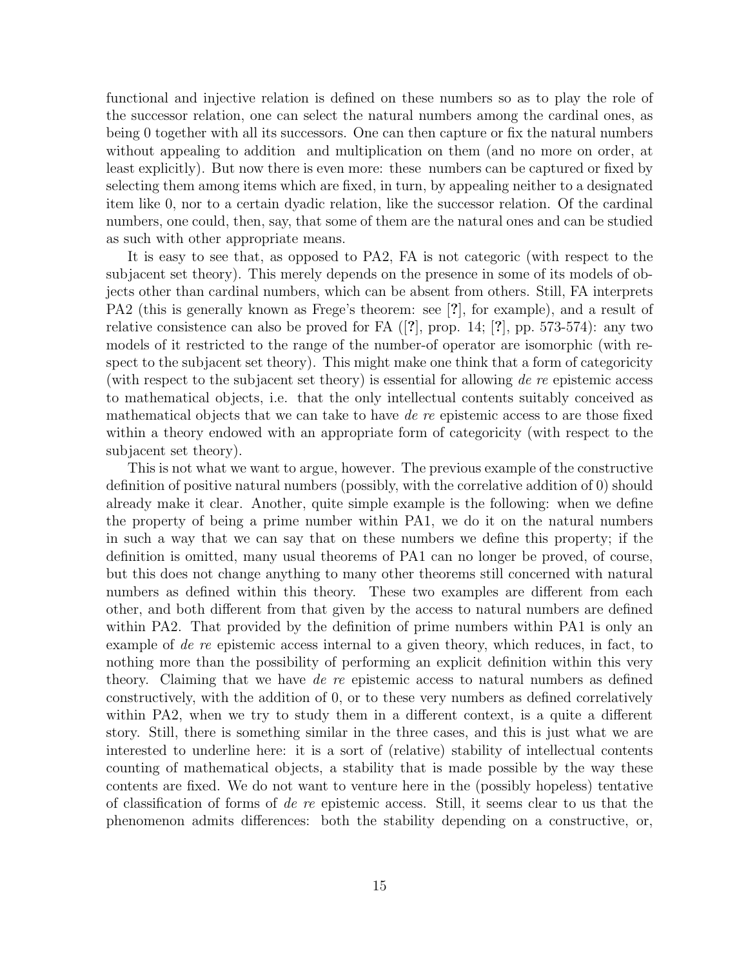functional and injective relation is defined on these numbers so as to play the role of the successor relation, one can select the natural numbers among the cardinal ones, as being 0 together with all its successors. One can then capture or fix the natural numbers without appealing to addition and multiplication on them (and no more on order, at least explicitly). But now there is even more: these numbers can be captured or fixed by selecting them among items which are fixed, in turn, by appealing neither to a designated item like 0, nor to a certain dyadic relation, like the successor relation. Of the cardinal numbers, one could, then, say, that some of them are the natural ones and can be studied as such with other appropriate means.

It is easy to see that, as opposed to PA2, FA is not categoric (with respect to the subjacent set theory). This merely depends on the presence in some of its models of objects other than cardinal numbers, which can be absent from others. Still, FA interprets PA2 (this is generally known as Frege's theorem: see [?], for example), and a result of relative consistence can also be proved for FA ([?], prop. 14; [?], pp. 573-574): any two models of it restricted to the range of the number-of operator are isomorphic (with respect to the subjacent set theory). This might make one think that a form of categoricity (with respect to the subjacent set theory) is essential for allowing de re epistemic access to mathematical objects, i.e. that the only intellectual contents suitably conceived as mathematical objects that we can take to have de re epistemic access to are those fixed within a theory endowed with an appropriate form of categoricity (with respect to the subjacent set theory).

This is not what we want to argue, however. The previous example of the constructive definition of positive natural numbers (possibly, with the correlative addition of 0) should already make it clear. Another, quite simple example is the following: when we define the property of being a prime number within PA1, we do it on the natural numbers in such a way that we can say that on these numbers we define this property; if the definition is omitted, many usual theorems of PA1 can no longer be proved, of course, but this does not change anything to many other theorems still concerned with natural numbers as defined within this theory. These two examples are different from each other, and both different from that given by the access to natural numbers are defined within PA2. That provided by the definition of prime numbers within PA1 is only an example of de re epistemic access internal to a given theory, which reduces, in fact, to nothing more than the possibility of performing an explicit definition within this very theory. Claiming that we have de re epistemic access to natural numbers as defined constructively, with the addition of 0, or to these very numbers as defined correlatively within PA2, when we try to study them in a different context, is a quite a different story. Still, there is something similar in the three cases, and this is just what we are interested to underline here: it is a sort of (relative) stability of intellectual contents counting of mathematical objects, a stability that is made possible by the way these contents are fixed. We do not want to venture here in the (possibly hopeless) tentative of classification of forms of de re epistemic access. Still, it seems clear to us that the phenomenon admits differences: both the stability depending on a constructive, or,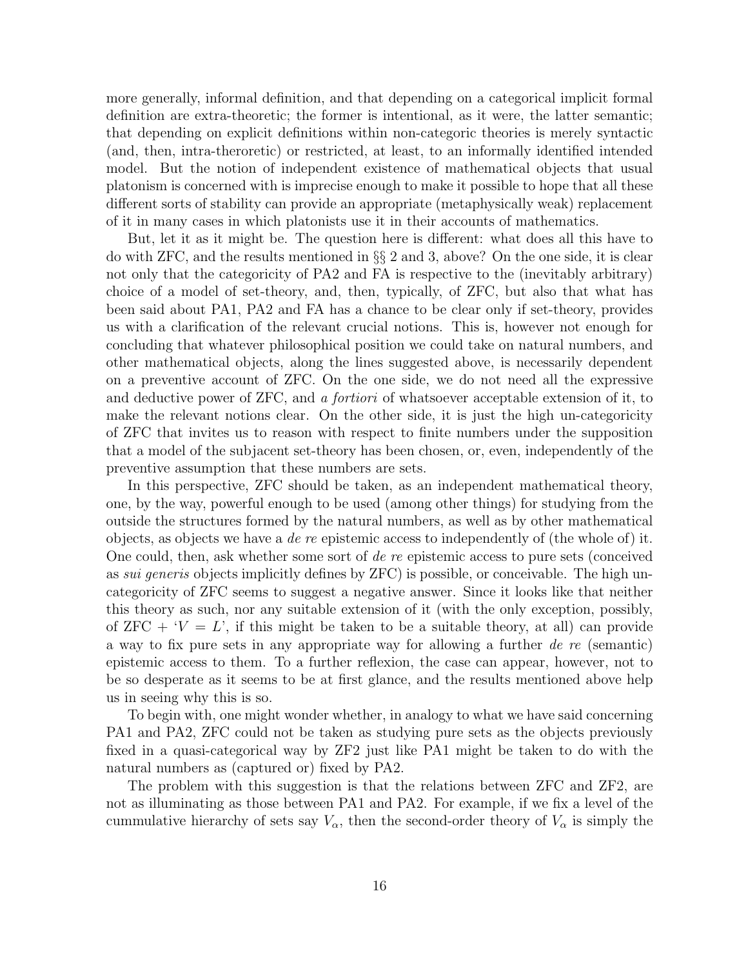more generally, informal definition, and that depending on a categorical implicit formal definition are extra-theoretic; the former is intentional, as it were, the latter semantic; that depending on explicit definitions within non-categoric theories is merely syntactic (and, then, intra-theroretic) or restricted, at least, to an informally identified intended model. But the notion of independent existence of mathematical objects that usual platonism is concerned with is imprecise enough to make it possible to hope that all these different sorts of stability can provide an appropriate (metaphysically weak) replacement of it in many cases in which platonists use it in their accounts of mathematics.

But, let it as it might be. The question here is different: what does all this have to do with ZFC, and the results mentioned in §§ 2 and 3, above? On the one side, it is clear not only that the categoricity of PA2 and FA is respective to the (inevitably arbitrary) choice of a model of set-theory, and, then, typically, of ZFC, but also that what has been said about PA1, PA2 and FA has a chance to be clear only if set-theory, provides us with a clarification of the relevant crucial notions. This is, however not enough for concluding that whatever philosophical position we could take on natural numbers, and other mathematical objects, along the lines suggested above, is necessarily dependent on a preventive account of ZFC. On the one side, we do not need all the expressive and deductive power of ZFC, and a fortiori of whatsoever acceptable extension of it, to make the relevant notions clear. On the other side, it is just the high un-categoricity of ZFC that invites us to reason with respect to finite numbers under the supposition that a model of the subjacent set-theory has been chosen, or, even, independently of the preventive assumption that these numbers are sets.

In this perspective, ZFC should be taken, as an independent mathematical theory, one, by the way, powerful enough to be used (among other things) for studying from the outside the structures formed by the natural numbers, as well as by other mathematical objects, as objects we have a *de re* epistemic access to independently of (the whole of) it. One could, then, ask whether some sort of de re epistemic access to pure sets (conceived as sui generis objects implicitly defines by ZFC) is possible, or conceivable. The high uncategoricity of ZFC seems to suggest a negative answer. Since it looks like that neither this theory as such, nor any suitable extension of it (with the only exception, possibly, of ZFC +  $V = L$ , if this might be taken to be a suitable theory, at all) can provide a way to fix pure sets in any appropriate way for allowing a further de re (semantic) epistemic access to them. To a further reflexion, the case can appear, however, not to be so desperate as it seems to be at first glance, and the results mentioned above help us in seeing why this is so.

To begin with, one might wonder whether, in analogy to what we have said concerning PA1 and PA2, ZFC could not be taken as studying pure sets as the objects previously fixed in a quasi-categorical way by ZF2 just like PA1 might be taken to do with the natural numbers as (captured or) fixed by PA2.

The problem with this suggestion is that the relations between ZFC and ZF2, are not as illuminating as those between PA1 and PA2. For example, if we fix a level of the cummulative hierarchy of sets say  $V_{\alpha}$ , then the second-order theory of  $V_{\alpha}$  is simply the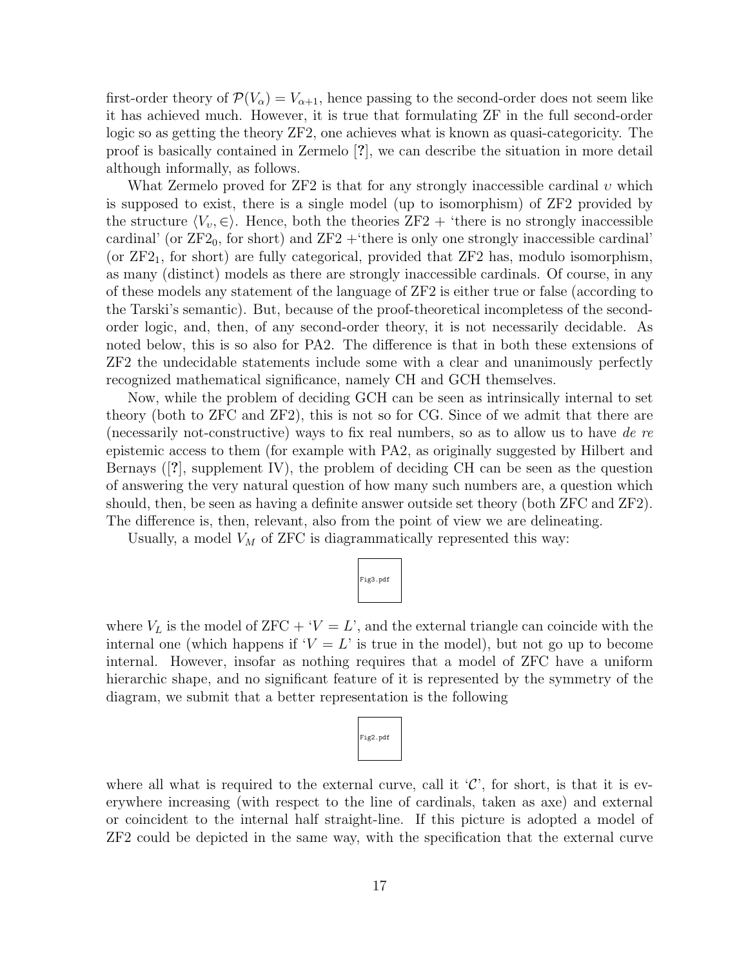first-order theory of  $\mathcal{P}(V_{\alpha})=V_{\alpha+1}$ , hence passing to the second-order does not seem like it has achieved much. However, it is true that formulating ZF in the full second-order logic so as getting the theory ZF2, one achieves what is known as quasi-categoricity. The proof is basically contained in Zermelo [?], we can describe the situation in more detail although informally, as follows.

What Zermelo proved for  $ZF2$  is that for any strongly inaccessible cardinal  $v$  which is supposed to exist, there is a single model (up to isomorphism) of ZF2 provided by the structure  $\langle V_v, \in \rangle$ . Hence, both the theories ZF2 + 'there is no strongly inaccessible cardinal' (or  $\text{ZF2}_0$ , for short) and  $\text{ZF2}$  + there is only one strongly inaccessible cardinal' (or  $ZF2<sub>1</sub>$ , for short) are fully categorical, provided that  $ZF2$  has, modulo isomorphism, as many (distinct) models as there are strongly inaccessible cardinals. Of course, in any of these models any statement of the language of ZF2 is either true or false (according to the Tarski's semantic). But, because of the proof-theoretical incompletess of the secondorder logic, and, then, of any second-order theory, it is not necessarily decidable. As noted below, this is so also for PA2. The difference is that in both these extensions of ZF2 the undecidable statements include some with a clear and unanimously perfectly recognized mathematical significance, namely CH and GCH themselves.

Now, while the problem of deciding GCH can be seen as intrinsically internal to set theory (both to ZFC and ZF2), this is not so for CG. Since of we admit that there are (necessarily not-constructive) ways to fix real numbers, so as to allow us to have de re epistemic access to them (for example with PA2, as originally suggested by Hilbert and Bernays ([?], supplement IV), the problem of deciding CH can be seen as the question of answering the very natural question of how many such numbers are, a question which should, then, be seen as having a definite answer outside set theory (both ZFC and ZF2). The difference is, then, relevant, also from the point of view we are delineating.

Usually, a model  $V_M$  of ZFC is diagrammatically represented this way:

$$
\left| \begin{smallmatrix} \tt Fig3.pdf \end{smallmatrix} \right|
$$

where  $V_L$  is the model of ZFC + ' $V = L$ ', and the external triangle can coincide with the internal one (which happens if  $V = L'$  is true in the model), but not go up to become internal. However, insofar as nothing requires that a model of ZFC have a uniform hierarchic shape, and no significant feature of it is represented by the symmetry of the diagram, we submit that a better representation is the following



where all what is required to the external curve, call it  $\mathcal{C}'$ , for short, is that it is everywhere increasing (with respect to the line of cardinals, taken as axe) and external or coincident to the internal half straight-line. If this picture is adopted a model of ZF2 could be depicted in the same way, with the specification that the external curve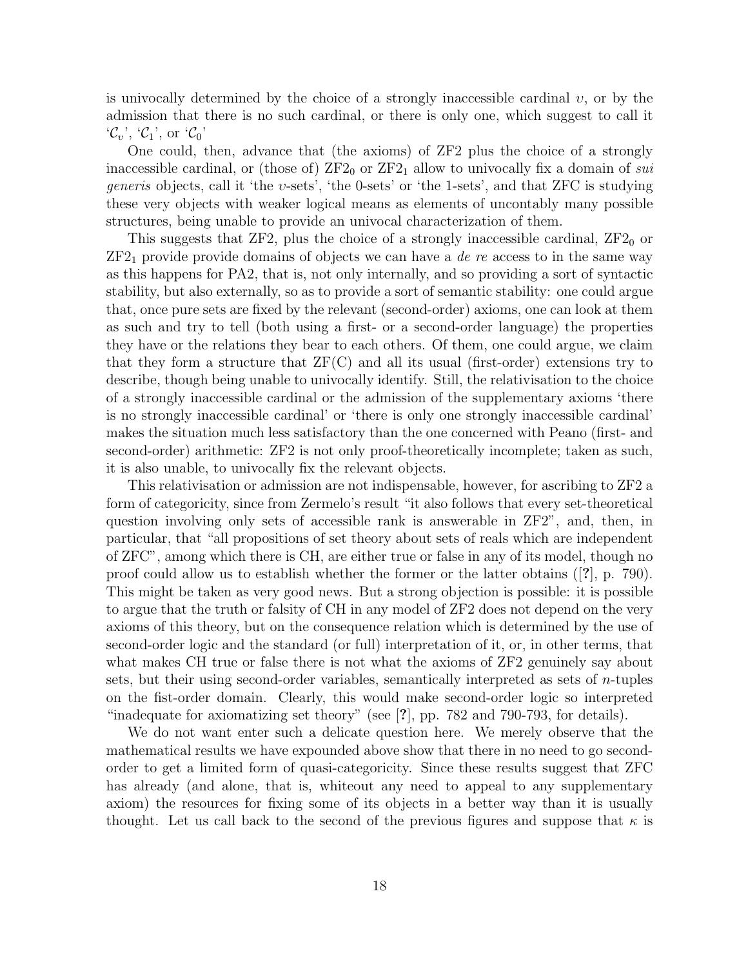is univocally determined by the choice of a strongly inaccessible cardinal  $v$ , or by the admission that there is no such cardinal, or there is only one, which suggest to call it  ${}^{\iota}\mathcal{C}_v$ ',  ${}^{\iota}\mathcal{C}_1$ ', or  ${}^{\iota}\mathcal{C}_0$ '

One could, then, advance that (the axioms) of ZF2 plus the choice of a strongly inaccessible cardinal, or (those of)  $ZF2_0$  or  $ZF2_1$  allow to univocally fix a domain of sui generis objects, call it 'the υ-sets', 'the 0-sets' or 'the 1-sets', and that ZFC is studying these very objects with weaker logical means as elements of uncontably many possible structures, being unable to provide an univocal characterization of them.

This suggests that  $ZF2$ , plus the choice of a strongly inaccessible cardinal,  $ZF2<sub>0</sub>$  or  $ZF2<sub>1</sub>$  provide provide domains of objects we can have a *de re* access to in the same way as this happens for PA2, that is, not only internally, and so providing a sort of syntactic stability, but also externally, so as to provide a sort of semantic stability: one could argue that, once pure sets are fixed by the relevant (second-order) axioms, one can look at them as such and try to tell (both using a first- or a second-order language) the properties they have or the relations they bear to each others. Of them, one could argue, we claim that they form a structure that  $ZF(C)$  and all its usual (first-order) extensions try to describe, though being unable to univocally identify. Still, the relativisation to the choice of a strongly inaccessible cardinal or the admission of the supplementary axioms 'there is no strongly inaccessible cardinal' or 'there is only one strongly inaccessible cardinal' makes the situation much less satisfactory than the one concerned with Peano (first- and second-order) arithmetic: ZF2 is not only proof-theoretically incomplete; taken as such, it is also unable, to univocally fix the relevant objects.

This relativisation or admission are not indispensable, however, for ascribing to ZF2 a form of categoricity, since from Zermelo's result "it also follows that every set-theoretical question involving only sets of accessible rank is answerable in ZF2", and, then, in particular, that "all propositions of set theory about sets of reals which are independent of ZFC", among which there is CH, are either true or false in any of its model, though no proof could allow us to establish whether the former or the latter obtains ([?], p. 790). This might be taken as very good news. But a strong objection is possible: it is possible to argue that the truth or falsity of CH in any model of ZF2 does not depend on the very axioms of this theory, but on the consequence relation which is determined by the use of second-order logic and the standard (or full) interpretation of it, or, in other terms, that what makes CH true or false there is not what the axioms of ZF2 genuinely say about sets, but their using second-order variables, semantically interpreted as sets of  $n$ -tuples on the fist-order domain. Clearly, this would make second-order logic so interpreted "inadequate for axiomatizing set theory" (see [?], pp. 782 and 790-793, for details).

We do not want enter such a delicate question here. We merely observe that the mathematical results we have expounded above show that there in no need to go secondorder to get a limited form of quasi-categoricity. Since these results suggest that ZFC has already (and alone, that is, whiteout any need to appeal to any supplementary axiom) the resources for fixing some of its objects in a better way than it is usually thought. Let us call back to the second of the previous figures and suppose that  $\kappa$  is